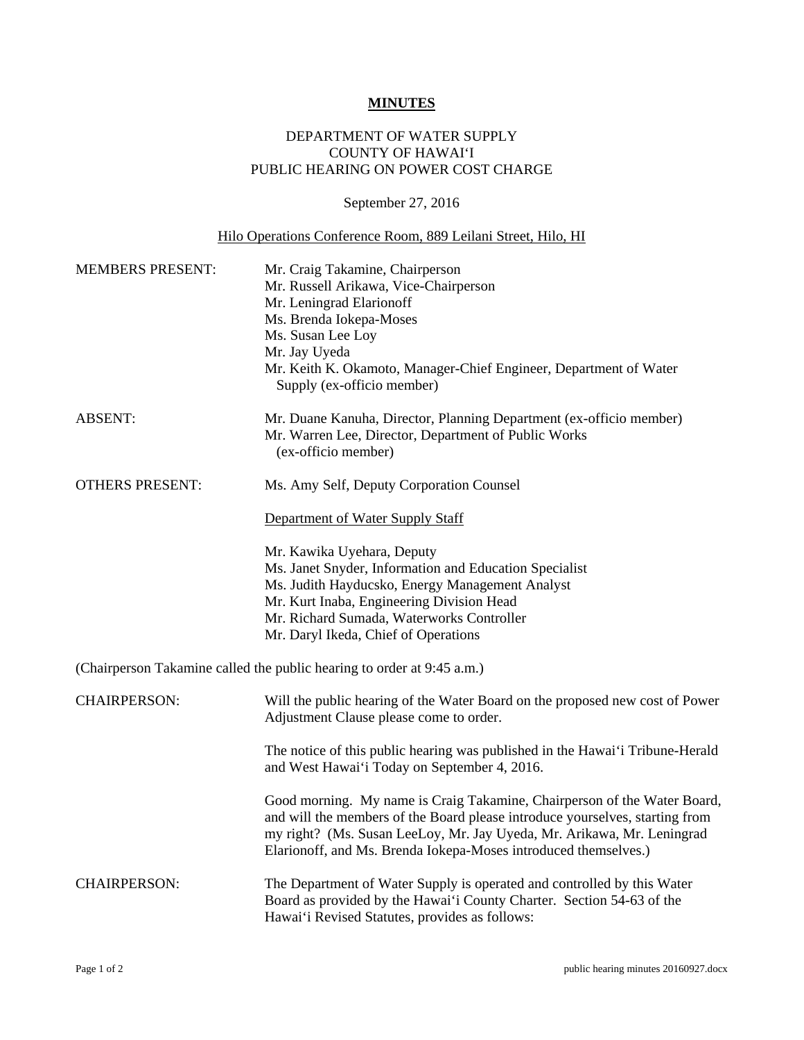## **MINUTES**

## DEPARTMENT OF WATER SUPPLY COUNTY OF HAWAI'I PUBLIC HEARING ON POWER COST CHARGE

## September 27, 2016

## Hilo Operations Conference Room, 889 Leilani Street, Hilo, HI

| <b>MEMBERS PRESENT:</b> | Mr. Craig Takamine, Chairperson<br>Mr. Russell Arikawa, Vice-Chairperson<br>Mr. Leningrad Elarionoff<br>Ms. Brenda Iokepa-Moses<br>Ms. Susan Lee Loy<br>Mr. Jay Uyeda<br>Mr. Keith K. Okamoto, Manager-Chief Engineer, Department of Water<br>Supply (ex-officio member)                              |
|-------------------------|-------------------------------------------------------------------------------------------------------------------------------------------------------------------------------------------------------------------------------------------------------------------------------------------------------|
| <b>ABSENT:</b>          | Mr. Duane Kanuha, Director, Planning Department (ex-officio member)<br>Mr. Warren Lee, Director, Department of Public Works<br>(ex-officio member)                                                                                                                                                    |
| <b>OTHERS PRESENT:</b>  | Ms. Amy Self, Deputy Corporation Counsel                                                                                                                                                                                                                                                              |
|                         | Department of Water Supply Staff                                                                                                                                                                                                                                                                      |
|                         | Mr. Kawika Uyehara, Deputy<br>Ms. Janet Snyder, Information and Education Specialist<br>Ms. Judith Hayducsko, Energy Management Analyst<br>Mr. Kurt Inaba, Engineering Division Head<br>Mr. Richard Sumada, Waterworks Controller<br>Mr. Daryl Ikeda, Chief of Operations                             |
|                         | (Chairperson Takamine called the public hearing to order at 9:45 a.m.)                                                                                                                                                                                                                                |
| <b>CHAIRPERSON:</b>     | Will the public hearing of the Water Board on the proposed new cost of Power<br>Adjustment Clause please come to order.                                                                                                                                                                               |
|                         | The notice of this public hearing was published in the Hawai'i Tribune-Herald<br>and West Hawai'i Today on September 4, 2016.                                                                                                                                                                         |
|                         | Good morning. My name is Craig Takamine, Chairperson of the Water Board,<br>and will the members of the Board please introduce yourselves, starting from<br>my right? (Ms. Susan LeeLoy, Mr. Jay Uyeda, Mr. Arikawa, Mr. Leningrad<br>Elarionoff, and Ms. Brenda Iokepa-Moses introduced themselves.) |
| <b>CHAIRPERSON:</b>     | The Department of Water Supply is operated and controlled by this Water<br>Board as provided by the Hawai'i County Charter. Section 54-63 of the<br>Hawai'i Revised Statutes, provides as follows:                                                                                                    |